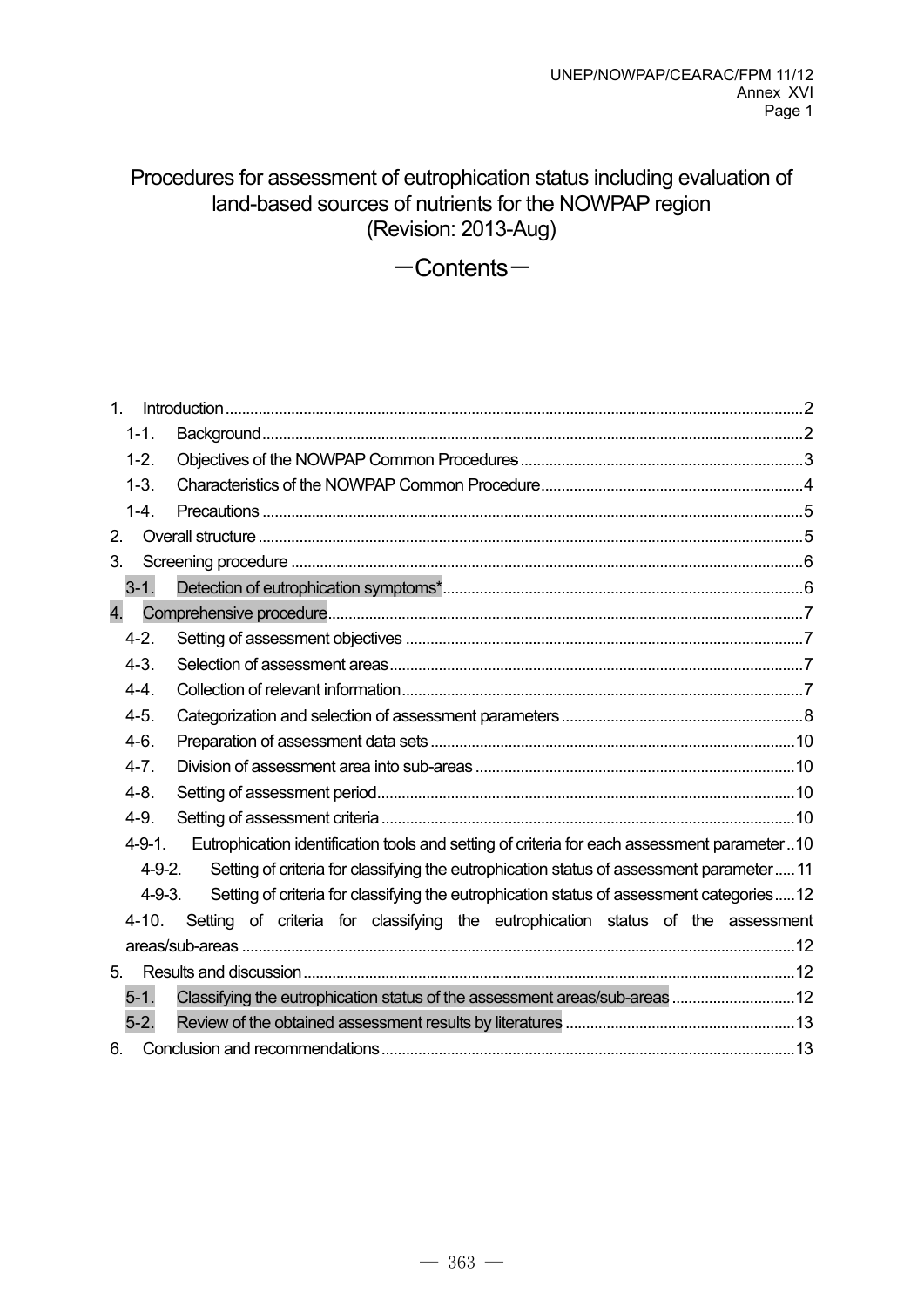# Procedures for assessment of eutrophication status including evaluation of land-based sources of nutrients for the NOWPAP region (Revision: 2013-Aug)

 $-$ Contents $-$ 

| 1 <sub>1</sub> |                                                                                                           |
|----------------|-----------------------------------------------------------------------------------------------------------|
| $1 - 1.$       |                                                                                                           |
| $1-2.$         |                                                                                                           |
| $1 - 3$ .      |                                                                                                           |
| $1-4.$         |                                                                                                           |
| 2.             |                                                                                                           |
| 3.             |                                                                                                           |
| $3 - 1$ .      |                                                                                                           |
| 4.             |                                                                                                           |
| $4 - 2$ .      |                                                                                                           |
| $4 - 3$ .      |                                                                                                           |
| $4 - 4$ .      |                                                                                                           |
| $4-5.$         |                                                                                                           |
| $4-6.$         |                                                                                                           |
| $4 - 7$ .      |                                                                                                           |
| $4 - 8$ .      |                                                                                                           |
| $4-9.$         |                                                                                                           |
| $4 - 9 - 1$ .  | Eutrophication identification tools and setting of criteria for each assessment parameter10               |
|                | Setting of criteria for classifying the eutrophication status of assessment parameter 11<br>$4 - 9 - 2$ . |
|                | Setting of criteria for classifying the eutrophication status of assessment categories12<br>$4 - 9 - 3$ . |
| $4 - 10.$      | Setting of criteria for classifying the eutrophication status of the assessment                           |
|                |                                                                                                           |
| 5.             |                                                                                                           |
| $5-1.$         | Classifying the eutrophication status of the assessment areas/sub-areas 12                                |
| $5-2.$         |                                                                                                           |
| 6.             |                                                                                                           |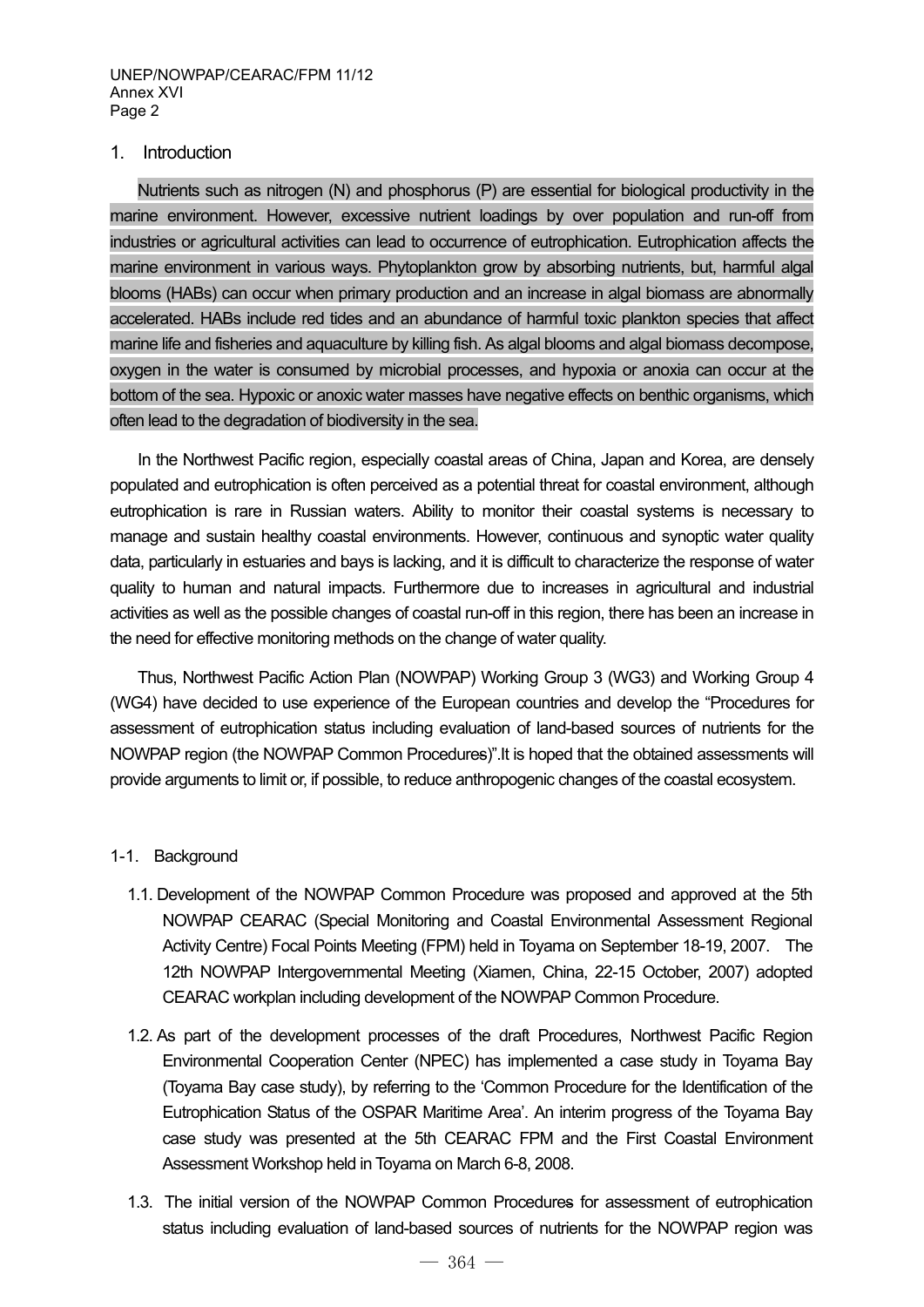#### 1. Introduction

Nutrients such as nitrogen (N) and phosphorus (P) are essential for biological productivity in the marine environment. However, excessive nutrient loadings by over population and run-off from industries or agricultural activities can lead to occurrence of eutrophication. Eutrophication affects the marine environment in various ways. Phytoplankton grow by absorbing nutrients, but, harmful algal blooms (HABs) can occur when primary production and an increase in algal biomass are abnormally accelerated. HABs include red tides and an abundance of harmful toxic plankton species that affect marine life and fisheries and aquaculture by killing fish. As algal blooms and algal biomass decompose, oxygen in the water is consumed by microbial processes, and hypoxia or anoxia can occur at the bottom of the sea. Hypoxic or anoxic water masses have negative effects on benthic organisms, which often lead to the degradation of biodiversity in the sea.

In the Northwest Pacific region, especially coastal areas of China, Japan and Korea, are densely populated and eutrophication is often perceived as a potential threat for coastal environment, although eutrophication is rare in Russian waters. Ability to monitor their coastal systems is necessary to manage and sustain healthy coastal environments. However, continuous and synoptic water quality data, particularly in estuaries and bays is lacking, and it is difficult to characterize the response of water quality to human and natural impacts. Furthermore due to increases in agricultural and industrial activities as well as the possible changes of coastal run-off in this region, there has been an increase in the need for effective monitoring methods on the change of water quality.

Thus, Northwest Pacific Action Plan (NOWPAP) Working Group 3 (WG3) and Working Group 4 (WG4) have decided to use experience of the European countries and develop the "Procedures for assessment of eutrophication status including evaluation of land-based sources of nutrients for the NOWPAP region (the NOWPAP Common Procedures)".It is hoped that the obtained assessments will provide arguments to limit or, if possible, to reduce anthropogenic changes of the coastal ecosystem.

#### 1-1. Background

- 1.1. Development of the NOWPAP Common Procedure was proposed and approved at the 5th NOWPAP CEARAC (Special Monitoring and Coastal Environmental Assessment Regional Activity Centre) Focal Points Meeting (FPM) held in Toyama on September 18-19, 2007. The 12th NOWPAP Intergovernmental Meeting (Xiamen, China, 22-15 October, 2007) adopted CEARAC workplan including development of the NOWPAP Common Procedure.
- 1.2. As part of the development processes of the draft Procedures, Northwest Pacific Region Environmental Cooperation Center (NPEC) has implemented a case study in Toyama Bay (Toyama Bay case study), by referring to the 'Common Procedure for the Identification of the Eutrophication Status of the OSPAR Maritime Area'. An interim progress of the Toyama Bay case study was presented at the 5th CEARAC FPM and the First Coastal Environment Assessment Workshop held in Toyama on March 6-8, 2008.
- 1.3. The initial version of the NOWPAP Common Procedures for assessment of eutrophication status including evaluation of land-based sources of nutrients for the NOWPAP region was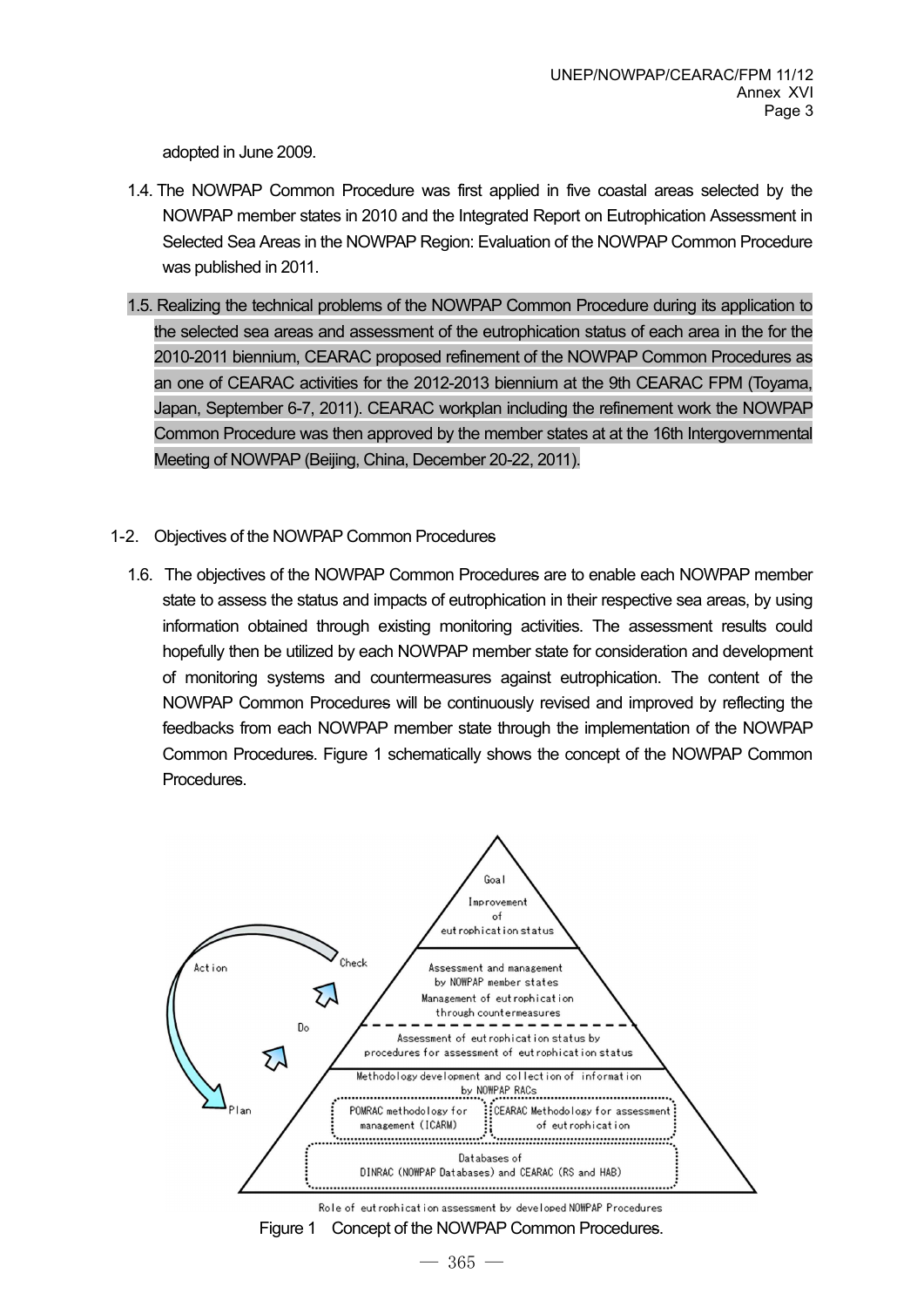adopted in June 2009.

- 1.4. The NOWPAP Common Procedure was first applied in five coastal areas selected by the NOWPAP member states in 2010 and the Integrated Report on Eutrophication Assessment in Selected Sea Areas in the NOWPAP Region: Evaluation of the NOWPAP Common Procedure was published in 2011.
- 1.5. Realizing the technical problems of the NOWPAP Common Procedure during its application to the selected sea areas and assessment of the eutrophication status of each area in the for the 2010-2011 biennium, CEARAC proposed refinement of the NOWPAP Common Procedures as an one of CEARAC activities for the 2012-2013 biennium at the 9th CEARAC FPM (Toyama, Japan, September 6-7, 2011). CEARAC workplan including the refinement work the NOWPAP Common Procedure was then approved by the member states at at the 16th Intergovernmental Meeting of NOWPAP (Beijing, China, December 20-22, 2011).
- 1-2. Objectives of the NOWPAP Common Procedures
	- 1.6. The objectives of the NOWPAP Common Procedures are to enable each NOWPAP member state to assess the status and impacts of eutrophication in their respective sea areas, by using information obtained through existing monitoring activities. The assessment results could hopefully then be utilized by each NOWPAP member state for consideration and development of monitoring systems and countermeasures against eutrophication. The content of the NOWPAP Common Procedures will be continuously revised and improved by reflecting the feedbacks from each NOWPAP member state through the implementation of the NOWPAP Common Procedures. Figure 1 schematically shows the concept of the NOWPAP Common Procedures.

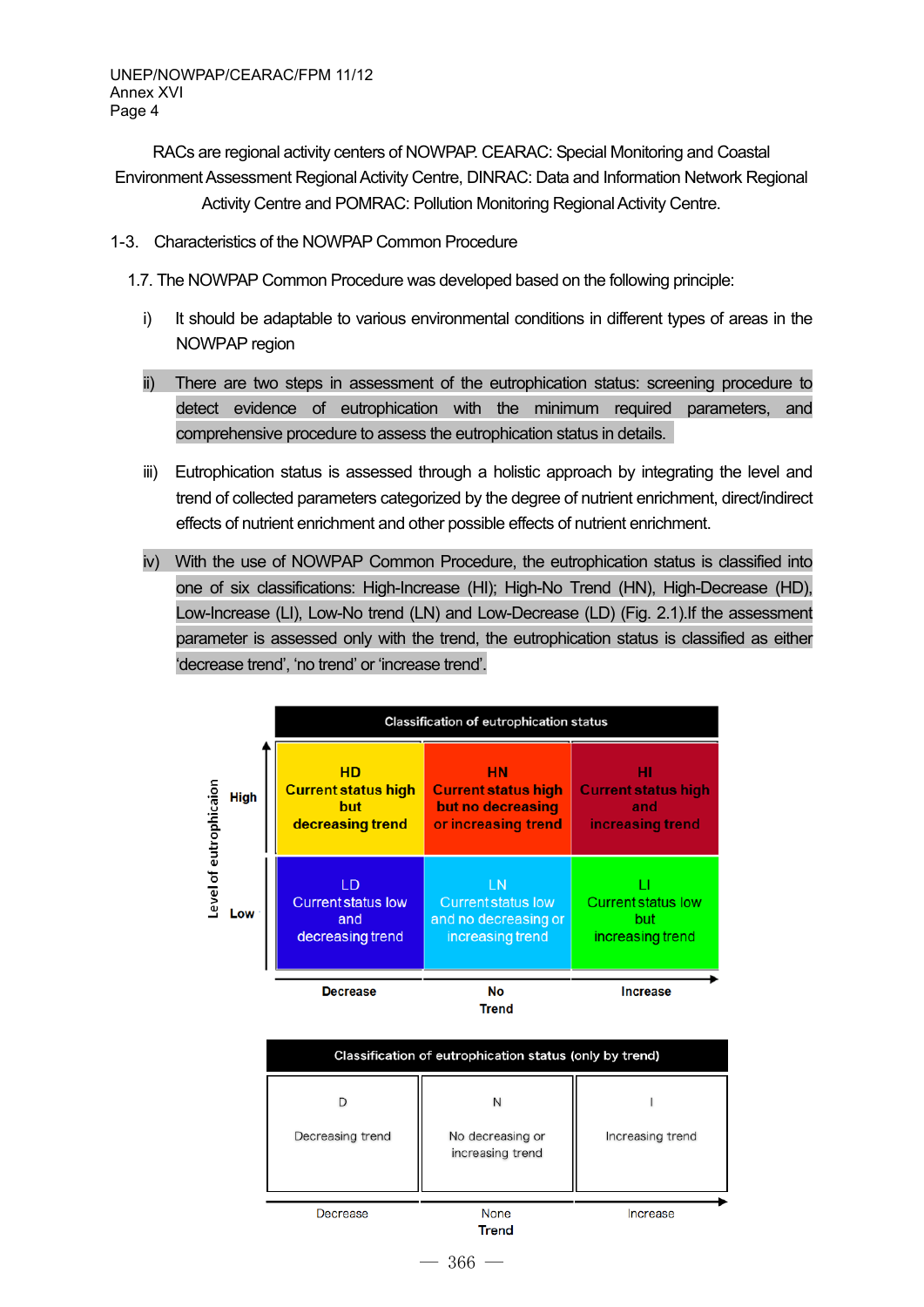RACs are regional activity centers of NOWPAP. CEARAC: Special Monitoring and Coastal Environment Assessment Regional Activity Centre, DINRAC: Data and Information Network Regional Activity Centre and POMRAC: Pollution Monitoring Regional Activity Centre.

1-3. Characteristics of the NOWPAP Common Procedure

1.7. The NOWPAP Common Procedure was developed based on the following principle:

- i) It should be adaptable to various environmental conditions in different types of areas in the NOWPAP region
- ii) There are two steps in assessment of the eutrophication status: screening procedure to detect evidence of eutrophication with the minimum required parameters, and comprehensive procedure to assess the eutrophication status in details.
- iii) Eutrophication status is assessed through a holistic approach by integrating the level and trend of collected parameters categorized by the degree of nutrient enrichment, direct/indirect effects of nutrient enrichment and other possible effects of nutrient enrichment.
- iv) With the use of NOWPAP Common Procedure, the eutrophication status is classified into one of six classifications: High-Increase (HI); High-No Trend (HN), High-Decrease (HD), Low-Increase (LI), Low-No trend (LN) and Low-Decrease (LD) (Fig. 2.1).If the assessment parameter is assessed only with the trend, the eutrophication status is classified as either 'decrease trend', 'no trend' or 'increase trend'.

|                       | <b>Classification of eutrophication status</b>                     |                                                                              |                                                             |  |  |
|-----------------------|--------------------------------------------------------------------|------------------------------------------------------------------------------|-------------------------------------------------------------|--|--|
| eutrophicaion<br>High | <b>HD</b><br><b>Current status high</b><br>but<br>decreasing trend | НN<br><b>Current status high</b><br>but no decreasing<br>or increasing trend | нı<br><b>Current status high</b><br>and<br>increasing trend |  |  |
| evel of<br>Low        | LD<br><b>Current status low</b><br>and<br>decreasing trend         | LN<br><b>Current status low</b><br>and no decreasing or<br>increasing trend  | <b>Current status low</b><br>but<br>increasing trend        |  |  |
|                       | <b>Decrease</b>                                                    | No<br>Trend                                                                  | <b>Increase</b>                                             |  |  |

| Classification of eutrophication status (only by trend) |                                           |                  |  |  |  |  |  |
|---------------------------------------------------------|-------------------------------------------|------------------|--|--|--|--|--|
| D<br>Decreasing trend                                   | N<br>No decreasing or<br>increasing trend | Increasing trend |  |  |  |  |  |
| Decrease                                                | None<br><b>Trend</b>                      | Increase         |  |  |  |  |  |

 $-366-$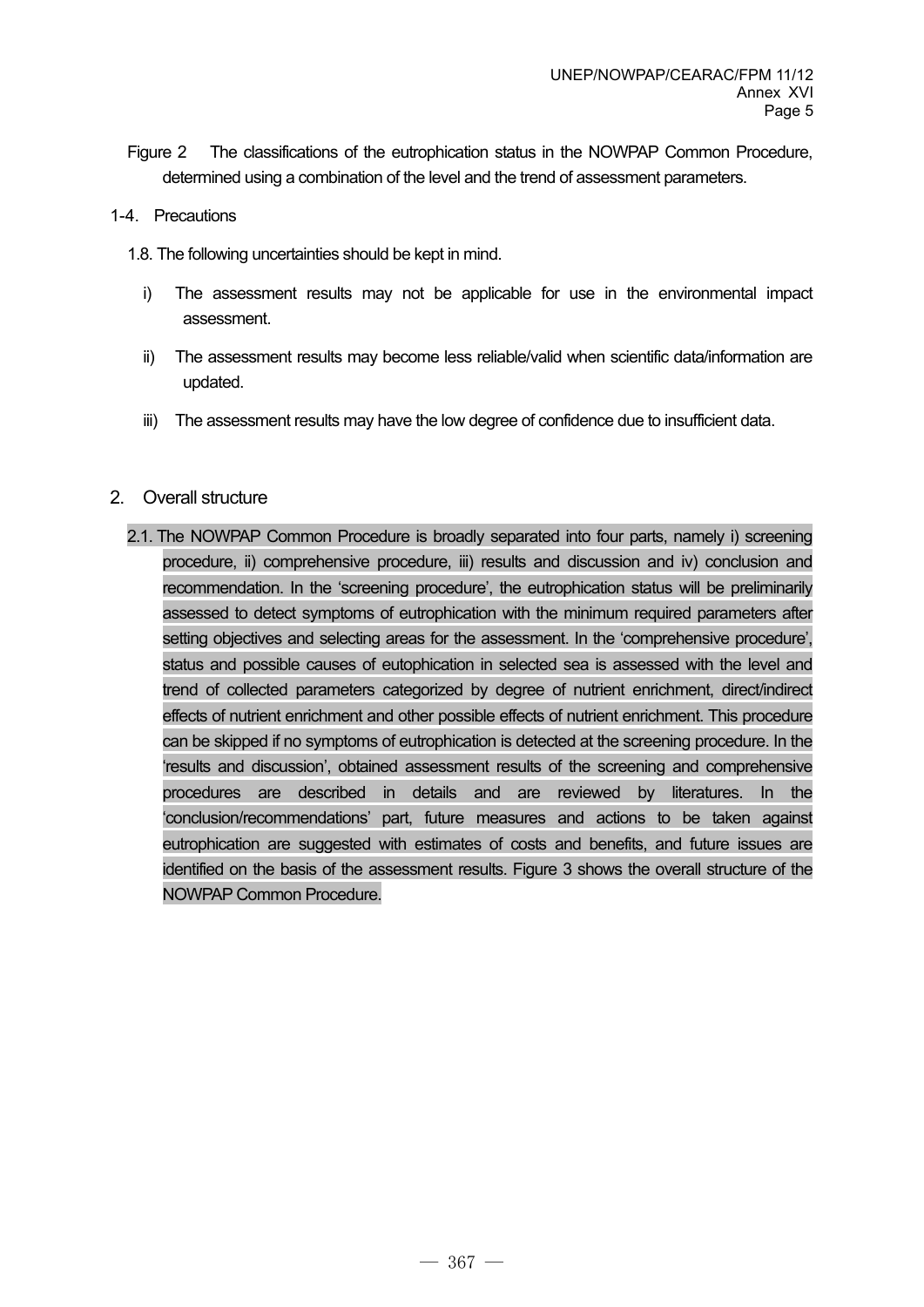- Figure 2 The classifications of the eutrophication status in the NOWPAP Common Procedure, determined using a combination of the level and the trend of assessment parameters.
- 1-4. Precautions
	- 1.8. The following uncertainties should be kept in mind.
		- i) The assessment results may not be applicable for use in the environmental impact assessment.
		- ii) The assessment results may become less reliable/valid when scientific data/information are updated.
		- iii) The assessment results may have the low degree of confidence due to insufficient data.
- 2. Overall structure
	- 2.1. The NOWPAP Common Procedure is broadly separated into four parts, namely i) screening procedure, ii) comprehensive procedure, iii) results and discussion and iv) conclusion and recommendation. In the 'screening procedure', the eutrophication status will be preliminarily assessed to detect symptoms of eutrophication with the minimum required parameters after setting objectives and selecting areas for the assessment. In the 'comprehensive procedure', status and possible causes of eutophication in selected sea is assessed with the level and trend of collected parameters categorized by degree of nutrient enrichment, direct/indirect effects of nutrient enrichment and other possible effects of nutrient enrichment. This procedure can be skipped if no symptoms of eutrophication is detected at the screening procedure. In the 'results and discussion', obtained assessment results of the screening and comprehensive procedures are described in details and are reviewed by literatures. In the 'conclusion/recommendations' part, future measures and actions to be taken against eutrophication are suggested with estimates of costs and benefits, and future issues are identified on the basis of the assessment results. Figure 3 shows the overall structure of the NOWPAP Common Procedure.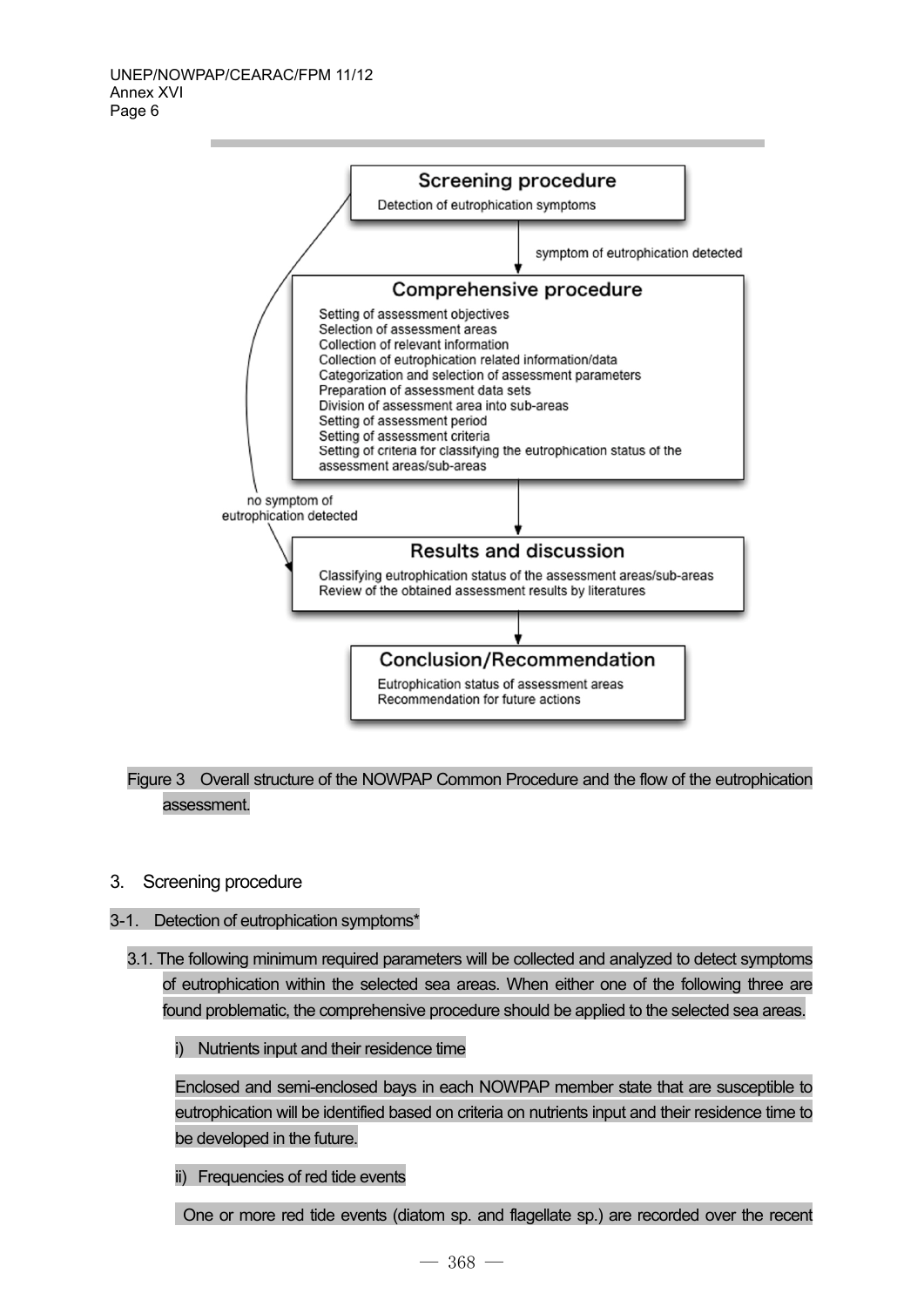

Figure 3 Overall structure of the NOWPAP Common Procedure and the flow of the eutrophication assessment.

3. Screening procedure

#### 3-1. Detection of eutrophication symptoms\*

3.1. The following minimum required parameters will be collected and analyzed to detect symptoms of eutrophication within the selected sea areas. When either one of the following three are found problematic, the comprehensive procedure should be applied to the selected sea areas.

i) Nutrients input and their residence time

Enclosed and semi-enclosed bays in each NOWPAP member state that are susceptible to eutrophication will be identified based on criteria on nutrients input and their residence time to be developed in the future.

ii) Frequencies of red tide events

One or more red tide events (diatom sp. and flagellate sp.) are recorded over the recent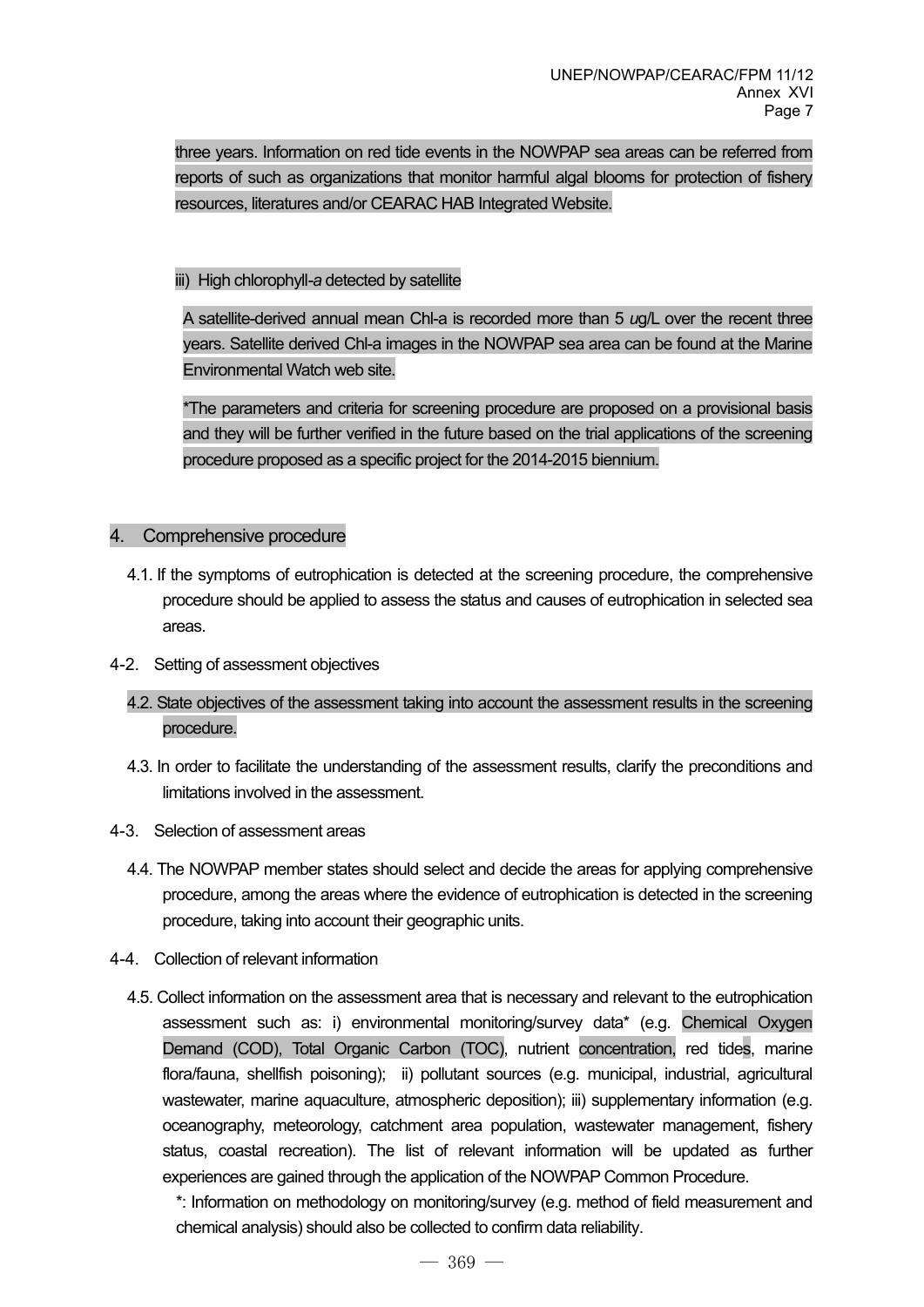three years. Information on red tide events in the NOWPAP sea areas can be referred from reports of such as organizations that monitor harmful algal blooms for protection of fishery resources, literatures and/or CEARAC HAB Integrated Website.

## iii) High chlorophyll*-a* detected by satellite

A satellite-derived annual mean Chl-a is recorded more than 5 *u*g/L over the recent three years. Satellite derived Chl-a images in the NOWPAP sea area can be found at the Marine Environmental Watch web site.

\*The parameters and criteria for screening procedure are proposed on a provisional basis and they will be further verified in the future based on the trial applications of the screening procedure proposed as a specific project for the 2014-2015 biennium.

## 4. Comprehensive procedure

- 4.1. If the symptoms of eutrophication is detected at the screening procedure, the comprehensive procedure should be applied to assess the status and causes of eutrophication in selected sea areas.
- 4-2. Setting of assessment objectives
	- 4.2. State objectives of the assessment taking into account the assessment results in the screening procedure.
	- 4.3. In order to facilitate the understanding of the assessment results, clarify the preconditions and limitations involved in the assessment.
- 4-3. Selection of assessment areas
	- 4.4. The NOWPAP member states should select and decide the areas for applying comprehensive procedure, among the areas where the evidence of eutrophication is detected in the screening procedure, taking into account their geographic units.
- 4-4. Collection of relevant information
	- 4.5. Collect information on the assessment area that is necessary and relevant to the eutrophication assessment such as: i) environmental monitoring/survey data\* (e.g. Chemical Oxygen Demand (COD), Total Organic Carbon (TOC), nutrient concentration, red tides, marine flora/fauna, shellfish poisoning); ii) pollutant sources (e.g. municipal, industrial, agricultural wastewater, marine aquaculture, atmospheric deposition); iii) supplementary information (e.g. oceanography, meteorology, catchment area population, wastewater management, fishery status, coastal recreation). The list of relevant information will be updated as further experiences are gained through the application of the NOWPAP Common Procedure.

\*: Information on methodology on monitoring/survey (e.g. method of field measurement and chemical analysis) should also be collected to confirm data reliability.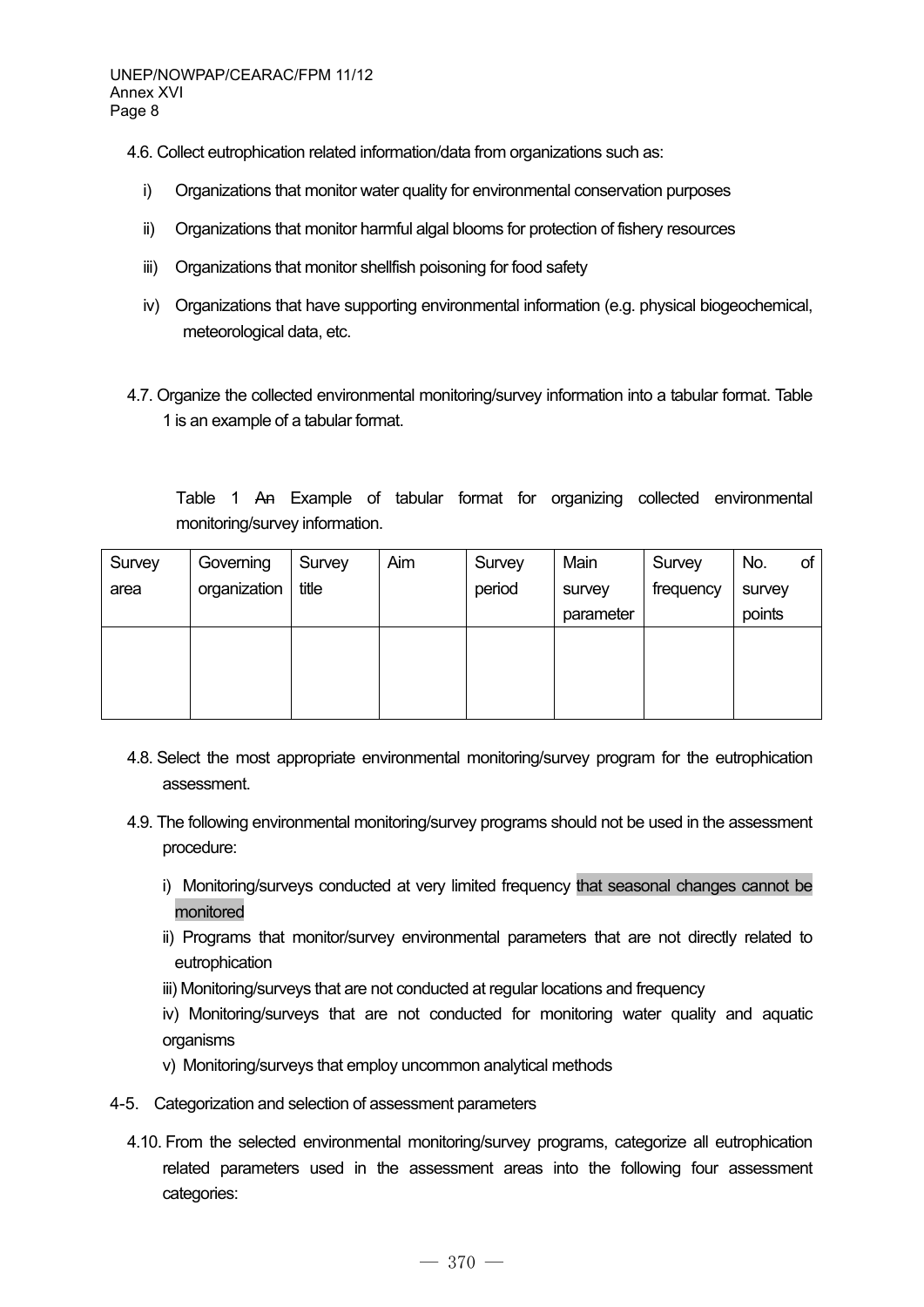- 4.6. Collect eutrophication related information/data from organizations such as:
	- i) Organizations that monitor water quality for environmental conservation purposes
	- ii) Organizations that monitor harmful algal blooms for protection of fishery resources
	- iii) Organizations that monitor shellfish poisoning for food safety
	- iv) Organizations that have supporting environmental information (e.g. physical biogeochemical, meteorological data, etc.
- 4.7. Organize the collected environmental monitoring/survey information into a tabular format. Table 1 is an example of a tabular format.

Table 1 An Example of tabular format for organizing collected environmental monitoring/survey information.

| Survey | Governing    | Survey | Aim | Survey | Main      | Survey    | No.    | οf |
|--------|--------------|--------|-----|--------|-----------|-----------|--------|----|
| area   | organization | title  |     | period | survey    | frequency | survey |    |
|        |              |        |     |        | parameter |           | points |    |
|        |              |        |     |        |           |           |        |    |
|        |              |        |     |        |           |           |        |    |
|        |              |        |     |        |           |           |        |    |
|        |              |        |     |        |           |           |        |    |

- 4.8. Select the most appropriate environmental monitoring/survey program for the eutrophication assessment.
- 4.9. The following environmental monitoring/survey programs should not be used in the assessment procedure:
	- i) Monitoring/surveys conducted at very limited frequency that seasonal changes cannot be monitored
	- ii) Programs that monitor/survey environmental parameters that are not directly related to eutrophication
	- iii) Monitoring/surveys that are not conducted at regular locations and frequency
	- iv) Monitoring/surveys that are not conducted for monitoring water quality and aquatic organisms
	- v) Monitoring/surveys that employ uncommon analytical methods
- 4-5. Categorization and selection of assessment parameters
	- 4.10. From the selected environmental monitoring/survey programs, categorize all eutrophication related parameters used in the assessment areas into the following four assessment categories: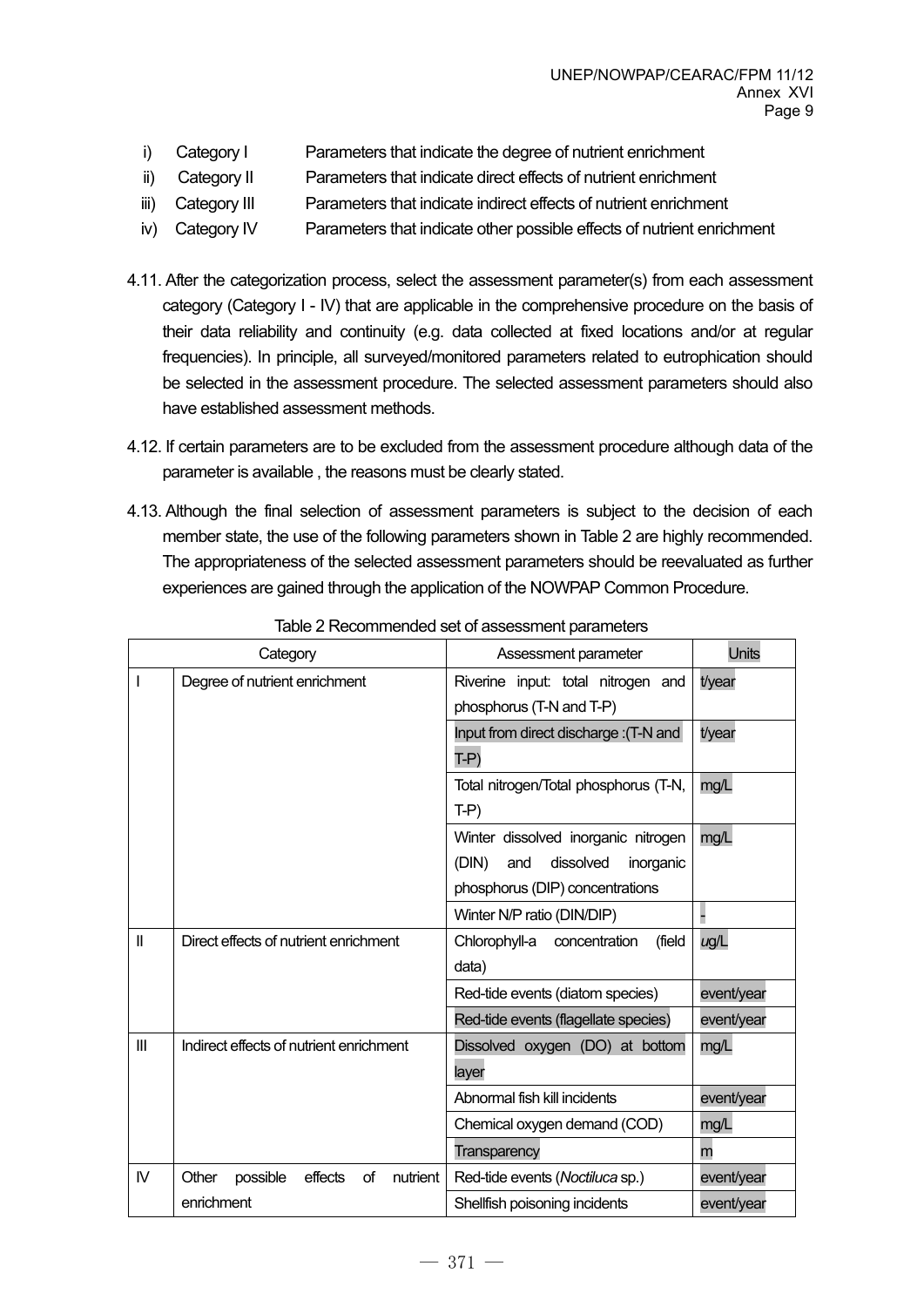- i) Category I Parameters that indicate the degree of nutrient enrichment
- ii) Category II Parameters that indicate direct effects of nutrient enrichment
- iii) Category III Parameters that indicate indirect effects of nutrient enrichment
- iv) Category IV Parameters that indicate other possible effects of nutrient enrichment
- 4.11. After the categorization process, select the assessment parameter(s) from each assessment category (Category I - IV) that are applicable in the comprehensive procedure on the basis of their data reliability and continuity (e.g. data collected at fixed locations and/or at regular frequencies). In principle, all surveyed/monitored parameters related to eutrophication should be selected in the assessment procedure. The selected assessment parameters should also have established assessment methods.
- 4.12. If certain parameters are to be excluded from the assessment procedure although data of the parameter is available , the reasons must be clearly stated.
- 4.13. Although the final selection of assessment parameters is subject to the decision of each member state, the use of the following parameters shown in Table 2 are highly recommended. The appropriateness of the selected assessment parameters should be reevaluated as further experiences are gained through the application of the NOWPAP Common Procedure.

| Category     |                                                | Assessment parameter                     | Units      |
|--------------|------------------------------------------------|------------------------------------------|------------|
|              | Degree of nutrient enrichment                  | Riverine input: total nitrogen and       | t/year     |
|              |                                                | phosphorus (T-N and T-P)                 |            |
|              |                                                | Input from direct discharge : (T-N and   | t/year     |
|              |                                                | $T-P$                                    |            |
|              |                                                | Total nitrogen/Total phosphorus (T-N,    | mg/L       |
|              |                                                | $T-P$                                    |            |
|              |                                                | Winter dissolved inorganic nitrogen      | mg/L       |
|              |                                                | (DIN)<br>and<br>dissolved<br>inorganic   |            |
|              |                                                | phosphorus (DIP) concentrations          |            |
|              |                                                | Winter N/P ratio (DIN/DIP)               |            |
| $\mathbf{I}$ | Direct effects of nutrient enrichment          | Chlorophyll-a<br>(field<br>concentration | ug/L       |
|              |                                                | data)                                    |            |
|              |                                                | Red-tide events (diatom species)         | event/year |
|              |                                                | Red-tide events (flagellate species)     | event/year |
| Ш            | Indirect effects of nutrient enrichment        | Dissolved oxygen (DO) at bottom          | mg/L       |
|              |                                                | layer                                    |            |
|              |                                                | Abnormal fish kill incidents             | event/year |
|              |                                                | Chemical oxygen demand (COD)             | mg/L       |
|              |                                                | <b>Transparency</b>                      | m          |
| IV           | Other<br>effects<br>οf<br>nutrient<br>possible | Red-tide events (Noctiluca sp.)          | event/year |
|              | enrichment                                     | Shellfish poisoning incidents            | event/year |

Table 2 Recommended set of assessment parameters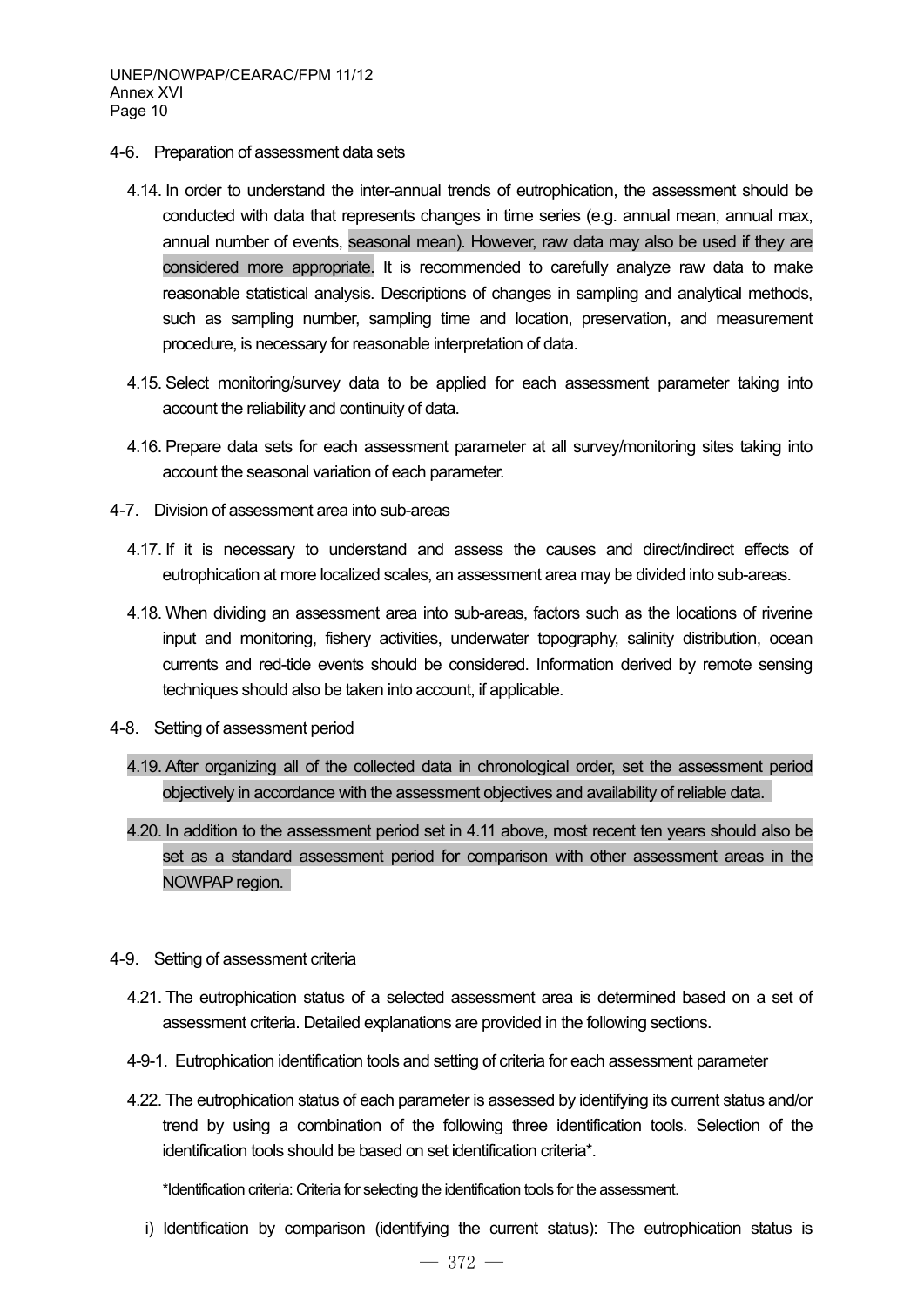- 4-6. Preparation of assessment data sets
	- 4.14. In order to understand the inter-annual trends of eutrophication, the assessment should be conducted with data that represents changes in time series (e.g. annual mean, annual max, annual number of events, seasonal mean). However, raw data may also be used if they are considered more appropriate. It is recommended to carefully analyze raw data to make reasonable statistical analysis. Descriptions of changes in sampling and analytical methods, such as sampling number, sampling time and location, preservation, and measurement procedure, is necessary for reasonable interpretation of data.
	- 4.15. Select monitoring/survey data to be applied for each assessment parameter taking into account the reliability and continuity of data.
	- 4.16. Prepare data sets for each assessment parameter at all survey/monitoring sites taking into account the seasonal variation of each parameter.
- 4-7. Division of assessment area into sub-areas
	- 4.17. If it is necessary to understand and assess the causes and direct/indirect effects of eutrophication at more localized scales, an assessment area may be divided into sub-areas.
	- 4.18. When dividing an assessment area into sub-areas, factors such as the locations of riverine input and monitoring, fishery activities, underwater topography, salinity distribution, ocean currents and red-tide events should be considered. Information derived by remote sensing techniques should also be taken into account, if applicable.
- 4-8. Setting of assessment period
	- 4.19. After organizing all of the collected data in chronological order, set the assessment period objectively in accordance with the assessment objectives and availability of reliable data.
	- 4.20. In addition to the assessment period set in 4.11 above, most recent ten years should also be set as a standard assessment period for comparison with other assessment areas in the NOWPAP region.
- 4-9. Setting of assessment criteria
	- 4.21. The eutrophication status of a selected assessment area is determined based on a set of assessment criteria. Detailed explanations are provided in the following sections.
	- 4-9-1. Eutrophication identification tools and setting of criteria for each assessment parameter
	- 4.22. The eutrophication status of each parameter is assessed by identifying its current status and/or trend by using a combination of the following three identification tools. Selection of the identification tools should be based on set identification criteria\*.

\*Identification criteria: Criteria for selecting the identification tools for the assessment.

i) Identification by comparison (identifying the current status): The eutrophication status is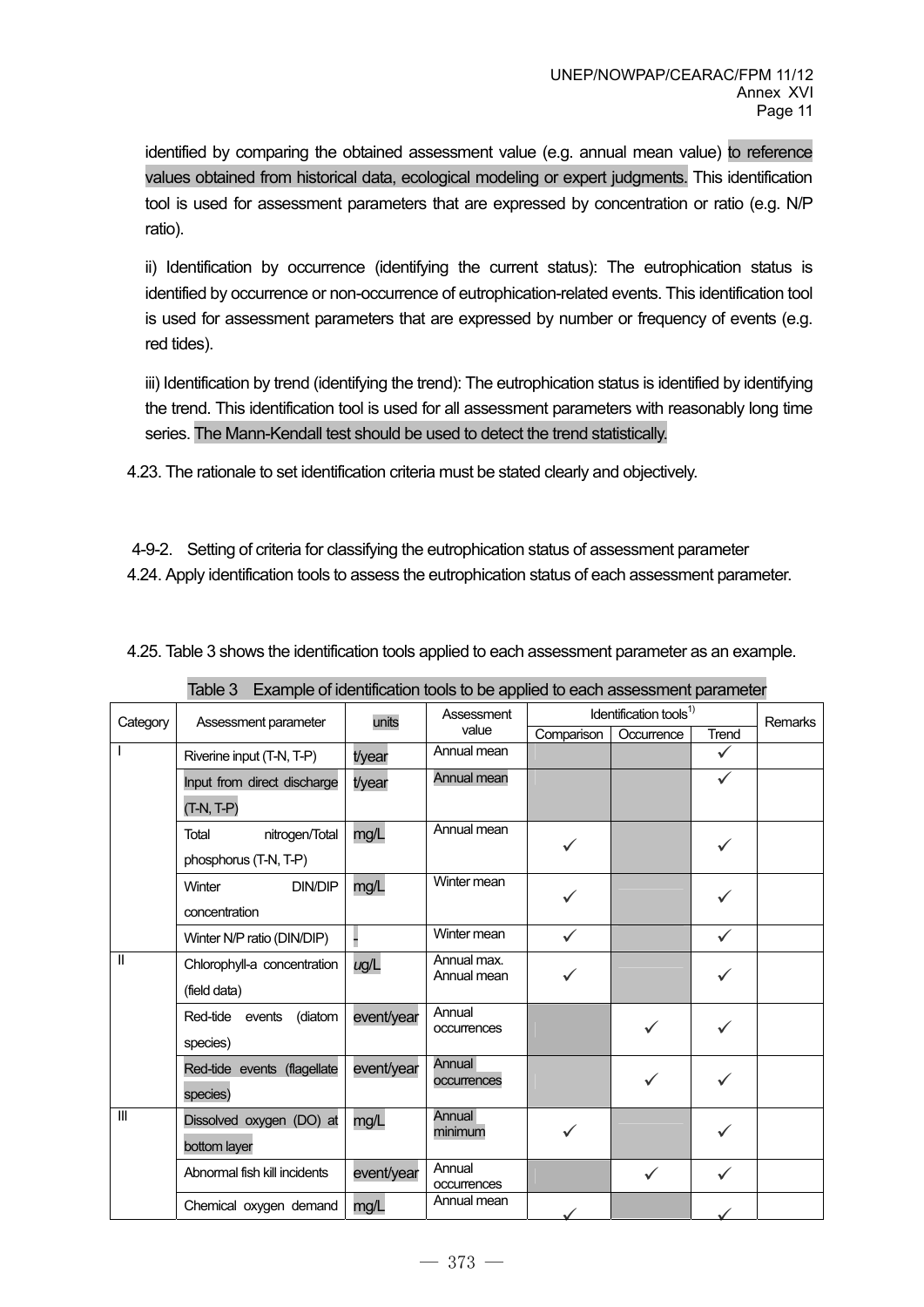identified by comparing the obtained assessment value (e.g. annual mean value) to reference values obtained from historical data, ecological modeling or expert judgments. This identification tool is used for assessment parameters that are expressed by concentration or ratio (e.g. N/P ratio).

ii) Identification by occurrence (identifying the current status): The eutrophication status is identified by occurrence or non-occurrence of eutrophication-related events. This identification tool is used for assessment parameters that are expressed by number or frequency of events (e.g. red tides).

iii) Identification by trend (identifying the trend): The eutrophication status is identified by identifying the trend. This identification tool is used for all assessment parameters with reasonably long time series. The Mann-Kendall test should be used to detect the trend statistically.

4.23. The rationale to set identification criteria must be stated clearly and objectively.

4-9-2. Setting of criteria for classifying the eutrophication status of assessment parameter

4.24. Apply identification tools to assess the eutrophication status of each assessment parameter.

4.25. Table 3 shows the identification tools applied to each assessment parameter as an example.

| Table 3 Example of identification tools to be applied to each assessment parameter |                              |                              |                            |                                    |              |         |  |
|------------------------------------------------------------------------------------|------------------------------|------------------------------|----------------------------|------------------------------------|--------------|---------|--|
| Category                                                                           | Assessment parameter         | Assessment<br>units<br>value |                            | Identification tools <sup>1)</sup> |              | Remarks |  |
|                                                                                    |                              |                              |                            | Comparison                         | Occurrence   | Trend   |  |
|                                                                                    | Riverine input (T-N, T-P)    | t/year                       | Annual mean                |                                    |              | ✓       |  |
|                                                                                    | Input from direct discharge  | t/year                       | Annual mean                |                                    |              |         |  |
|                                                                                    | $(T-N, T-P)$                 |                              |                            |                                    |              |         |  |
|                                                                                    | nitrogen/Total<br>Total      | mg/L                         | Annual mean                |                                    |              |         |  |
|                                                                                    | phosphorus (T-N, T-P)        |                              |                            |                                    |              |         |  |
|                                                                                    | <b>DIN/DIP</b><br>Winter     | mg/L                         | Winter mean                |                                    |              |         |  |
|                                                                                    | concentration                |                              |                            |                                    |              |         |  |
|                                                                                    | Winter N/P ratio (DIN/DIP)   |                              | Winter mean                |                                    |              |         |  |
| $\mathsf{I}$                                                                       | Chlorophyll-a concentration  | ug/L                         | Annual max.<br>Annual mean |                                    |              |         |  |
|                                                                                    | (field data)                 |                              |                            |                                    |              |         |  |
|                                                                                    | Red-tide events (diatom      | event/year                   | Annual<br>occurrences      |                                    |              | ✓       |  |
|                                                                                    | species)                     |                              |                            |                                    |              |         |  |
|                                                                                    | Red-tide events (flagellate  | event/year                   | Annual<br>occurrences      |                                    |              |         |  |
|                                                                                    | species)                     |                              |                            |                                    |              |         |  |
| III                                                                                | Dissolved oxygen (DO) at     | mg/L                         | Annual<br>minimum          | ✓                                  |              |         |  |
|                                                                                    | bottom layer                 |                              |                            |                                    |              |         |  |
|                                                                                    | Abnormal fish kill incidents | event/year                   | Annual<br>occurrences      |                                    | $\checkmark$ |         |  |
|                                                                                    | Chemical oxygen demand       | mg/L                         | Annual mean                |                                    |              |         |  |

Table 3 Example of identification tools to be applied to each assessment parameter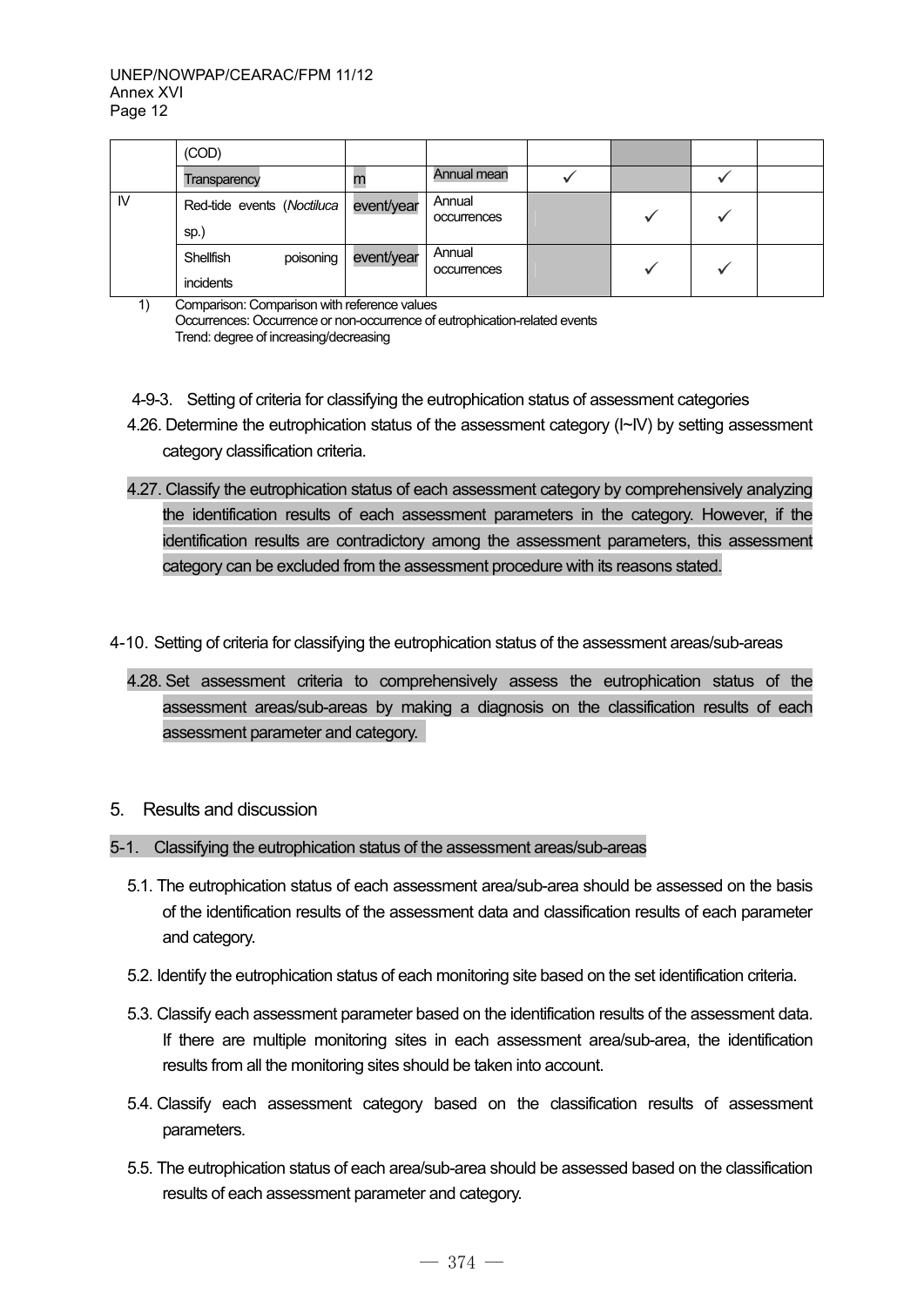|    | (COD)                               |            |                       |  |  |
|----|-------------------------------------|------------|-----------------------|--|--|
|    | Transparency                        | m          | Annual mean           |  |  |
| IV | Red-tide events (Noctiluca<br>sp.)  | event/year | Annual<br>occurrences |  |  |
|    | poisoning<br>Shellfish<br>incidents | event/year | Annual<br>occurrences |  |  |

<sup>1)</sup> Comparison: Comparison with reference values Occurrences: Occurrence or non-occurrence of eutrophication-related events Trend: degree of increasing/decreasing

- 4-9-3. Setting of criteria for classifying the eutrophication status of assessment categories
- 4.26. Determine the eutrophication status of the assessment category (I~IV) by setting assessment category classification criteria.
- 4.27. Classify the eutrophication status of each assessment category by comprehensively analyzing the identification results of each assessment parameters in the category. However, if the identification results are contradictory among the assessment parameters, this assessment category can be excluded from the assessment procedure with its reasons stated.
- 4-10. Setting of criteria for classifying the eutrophication status of the assessment areas/sub-areas
	- 4.28. Set assessment criteria to comprehensively assess the eutrophication status of the assessment areas/sub-areas by making a diagnosis on the classification results of each assessment parameter and category.

#### 5. Results and discussion

- 5-1. Classifying the eutrophication status of the assessment areas/sub-areas
	- 5.1. The eutrophication status of each assessment area/sub-area should be assessed on the basis of the identification results of the assessment data and classification results of each parameter and category.
	- 5.2. Identify the eutrophication status of each monitoring site based on the set identification criteria.
	- 5.3. Classify each assessment parameter based on the identification results of the assessment data. If there are multiple monitoring sites in each assessment area/sub-area, the identification results from all the monitoring sites should be taken into account.
	- 5.4. Classify each assessment category based on the classification results of assessment parameters.
	- 5.5. The eutrophication status of each area/sub-area should be assessed based on the classification results of each assessment parameter and category.